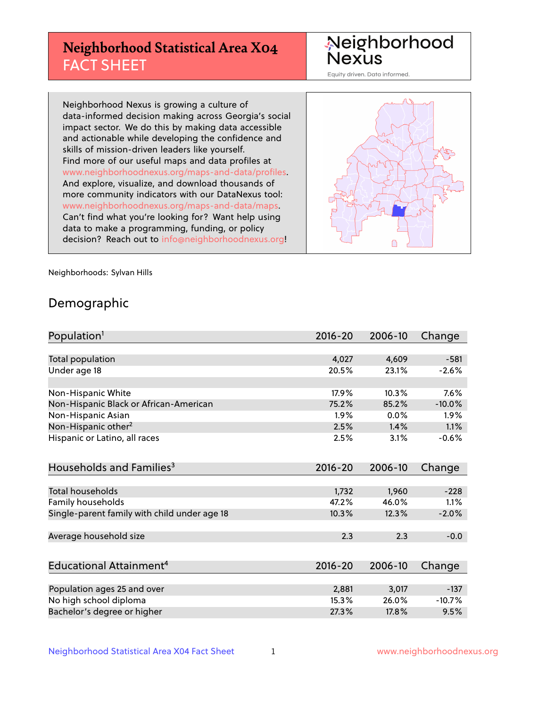# **Neighborhood Statistical Area X04** FACT SHEET

Neighborhood Nexus

Equity driven. Data informed.

Neighborhood Nexus is growing a culture of data-informed decision making across Georgia's social impact sector. We do this by making data accessible and actionable while developing the confidence and skills of mission-driven leaders like yourself. Find more of our useful maps and data profiles at www.neighborhoodnexus.org/maps-and-data/profiles. And explore, visualize, and download thousands of more community indicators with our DataNexus tool: www.neighborhoodnexus.org/maps-and-data/maps. Can't find what you're looking for? Want help using data to make a programming, funding, or policy decision? Reach out to [info@neighborhoodnexus.org!](mailto:info@neighborhoodnexus.org)



Neighborhoods: Sylvan Hills

### Demographic

| Population <sup>1</sup>                      | $2016 - 20$ | 2006-10 | Change   |
|----------------------------------------------|-------------|---------|----------|
|                                              |             |         |          |
| Total population                             | 4,027       | 4,609   | $-581$   |
| Under age 18                                 | 20.5%       | 23.1%   | $-2.6%$  |
|                                              |             |         |          |
| Non-Hispanic White                           | 17.9%       | 10.3%   | 7.6%     |
| Non-Hispanic Black or African-American       | 75.2%       | 85.2%   | $-10.0%$ |
| Non-Hispanic Asian                           | 1.9%        | 0.0%    | 1.9%     |
| Non-Hispanic other <sup>2</sup>              | 2.5%        | 1.4%    | 1.1%     |
| Hispanic or Latino, all races                | 2.5%        | 3.1%    | $-0.6%$  |
|                                              |             |         |          |
| Households and Families <sup>3</sup>         | $2016 - 20$ | 2006-10 | Change   |
|                                              |             |         |          |
| Total households                             | 1,732       | 1,960   | $-228$   |
| <b>Family households</b>                     | 47.2%       | 46.0%   | 1.1%     |
| Single-parent family with child under age 18 | 10.3%       | 12.3%   | $-2.0%$  |
|                                              |             |         |          |
| Average household size                       | 2.3         | 2.3     | $-0.0$   |
|                                              |             |         |          |
| Educational Attainment <sup>4</sup>          | $2016 - 20$ | 2006-10 | Change   |
|                                              |             |         |          |
| Population ages 25 and over                  | 2,881       | 3,017   | $-137$   |
| No high school diploma                       | 15.3%       | 26.0%   | $-10.7%$ |
| Bachelor's degree or higher                  | 27.3%       | 17.8%   | 9.5%     |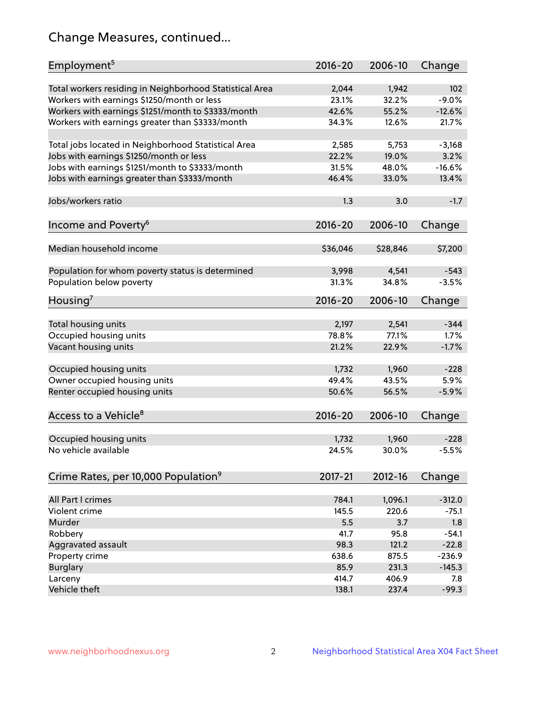# Change Measures, continued...

| Employment <sup>5</sup>                                 | $2016 - 20$ | 2006-10  | Change   |
|---------------------------------------------------------|-------------|----------|----------|
|                                                         |             |          |          |
| Total workers residing in Neighborhood Statistical Area | 2,044       | 1,942    | 102      |
| Workers with earnings \$1250/month or less              | 23.1%       | 32.2%    | $-9.0%$  |
| Workers with earnings \$1251/month to \$3333/month      | 42.6%       | 55.2%    | $-12.6%$ |
| Workers with earnings greater than \$3333/month         | 34.3%       | 12.6%    | 21.7%    |
| Total jobs located in Neighborhood Statistical Area     | 2,585       | 5,753    | $-3,168$ |
| Jobs with earnings \$1250/month or less                 | 22.2%       | 19.0%    | 3.2%     |
| Jobs with earnings \$1251/month to \$3333/month         | 31.5%       | 48.0%    | $-16.6%$ |
| Jobs with earnings greater than \$3333/month            | 46.4%       | 33.0%    | 13.4%    |
|                                                         |             |          |          |
| Jobs/workers ratio                                      | 1.3         | 3.0      | $-1.7$   |
|                                                         |             |          |          |
| Income and Poverty <sup>6</sup>                         | 2016-20     | 2006-10  | Change   |
| Median household income                                 | \$36,046    | \$28,846 | \$7,200  |
|                                                         |             |          |          |
| Population for whom poverty status is determined        | 3,998       | 4,541    | $-543$   |
| Population below poverty                                | 31.3%       | 34.8%    | $-3.5%$  |
| Housing <sup>7</sup>                                    | 2016-20     | 2006-10  | Change   |
|                                                         |             |          |          |
| Total housing units                                     | 2,197       | 2,541    | $-344$   |
| Occupied housing units                                  | 78.8%       | 77.1%    | 1.7%     |
| Vacant housing units                                    | 21.2%       | 22.9%    | $-1.7%$  |
|                                                         |             |          |          |
| Occupied housing units                                  | 1,732       | 1,960    | $-228$   |
| Owner occupied housing units                            | 49.4%       | 43.5%    | 5.9%     |
| Renter occupied housing units                           | 50.6%       | 56.5%    | $-5.9%$  |
|                                                         |             |          |          |
| Access to a Vehicle <sup>8</sup>                        | $2016 - 20$ | 2006-10  | Change   |
|                                                         |             |          |          |
| Occupied housing units                                  | 1,732       | 1,960    | $-228$   |
| No vehicle available                                    | 24.5%       | 30.0%    | $-5.5%$  |
|                                                         |             |          |          |
| Crime Rates, per 10,000 Population <sup>9</sup>         | 2017-21     | 2012-16  | Change   |
|                                                         |             |          |          |
| All Part I crimes                                       | 784.1       | 1,096.1  | $-312.0$ |
| Violent crime                                           | 145.5       | 220.6    | $-75.1$  |
| Murder                                                  | 5.5         | 3.7      | 1.8      |
| Robbery                                                 | 41.7        | 95.8     | $-54.1$  |
| Aggravated assault                                      | 98.3        | 121.2    | $-22.8$  |
| Property crime                                          | 638.6       | 875.5    | $-236.9$ |
| <b>Burglary</b>                                         | 85.9        | 231.3    | $-145.3$ |
| Larceny                                                 | 414.7       | 406.9    | 7.8      |
| Vehicle theft                                           | 138.1       | 237.4    | $-99.3$  |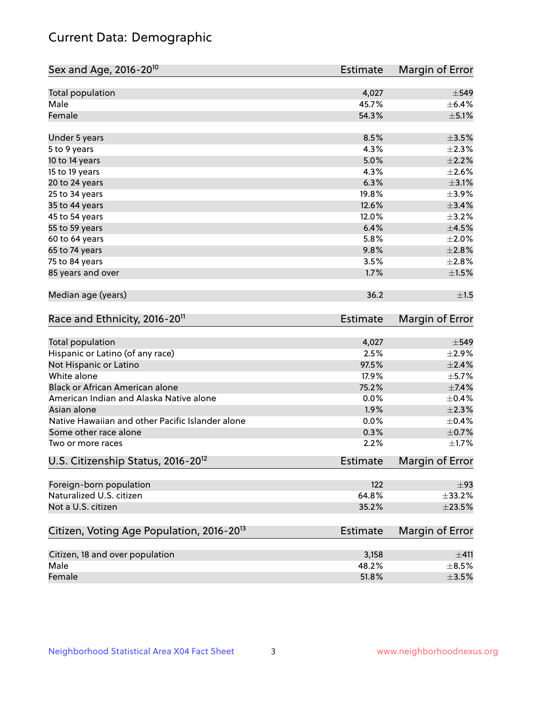# Current Data: Demographic

| Sex and Age, 2016-20 <sup>10</sup>                    | <b>Estimate</b> | Margin of Error |
|-------------------------------------------------------|-----------------|-----------------|
| Total population                                      | 4,027           | $\pm$ 549       |
| Male                                                  | 45.7%           | $\pm$ 6.4%      |
| Female                                                | 54.3%           | $\pm$ 5.1%      |
| Under 5 years                                         | 8.5%            | $\pm$ 3.5%      |
| 5 to 9 years                                          | 4.3%            | $\pm 2.3\%$     |
| 10 to 14 years                                        | 5.0%            | $\pm 2.2\%$     |
| 15 to 19 years                                        | 4.3%            | $\pm 2.6\%$     |
| 20 to 24 years                                        | 6.3%            | $\pm$ 3.1%      |
| 25 to 34 years                                        | 19.8%           | $\pm$ 3.9%      |
| 35 to 44 years                                        | 12.6%           | $\pm$ 3.4%      |
| 45 to 54 years                                        | 12.0%           | $\pm$ 3.2%      |
| 55 to 59 years                                        | 6.4%            | $\pm 4.5\%$     |
| 60 to 64 years                                        | 5.8%            | $\pm 2.0\%$     |
| 65 to 74 years                                        | 9.8%            | $\pm 2.8\%$     |
| 75 to 84 years                                        | 3.5%            | ±2.8%           |
| 85 years and over                                     | 1.7%            | $\pm 1.5\%$     |
| Median age (years)                                    | 36.2            | ±1.5            |
| Race and Ethnicity, 2016-20 <sup>11</sup>             | <b>Estimate</b> | Margin of Error |
| Total population                                      | 4,027           | $\pm$ 549       |
| Hispanic or Latino (of any race)                      | 2.5%            | $\pm 2.9\%$     |
| Not Hispanic or Latino                                | 97.5%           | $\pm 2.4\%$     |
| White alone                                           | 17.9%           | $\pm$ 5.7%      |
| Black or African American alone                       | 75.2%           | $\pm$ 7.4%      |
| American Indian and Alaska Native alone               | 0.0%            | $\pm$ 0.4%      |
| Asian alone                                           | 1.9%            | $\pm 2.3\%$     |
| Native Hawaiian and other Pacific Islander alone      | 0.0%            | $\pm$ 0.4%      |
| Some other race alone                                 | 0.3%            | $\pm$ 0.7%      |
| Two or more races                                     | 2.2%            | $\pm1.7\%$      |
| U.S. Citizenship Status, 2016-20 <sup>12</sup>        | Estimate        | Margin of Error |
| Foreign-born population                               | 122             | ±93             |
| Naturalized U.S. citizen                              | 64.8%           | ±33.2%          |
| Not a U.S. citizen                                    | 35.2%           | $\pm 23.5\%$    |
| Citizen, Voting Age Population, 2016-20 <sup>13</sup> | <b>Estimate</b> | Margin of Error |
| Citizen, 18 and over population                       | 3,158           | ±411            |
| Male                                                  | 48.2%           | $\pm$ 8.5%      |
| Female                                                | 51.8%           | $\pm$ 3.5%      |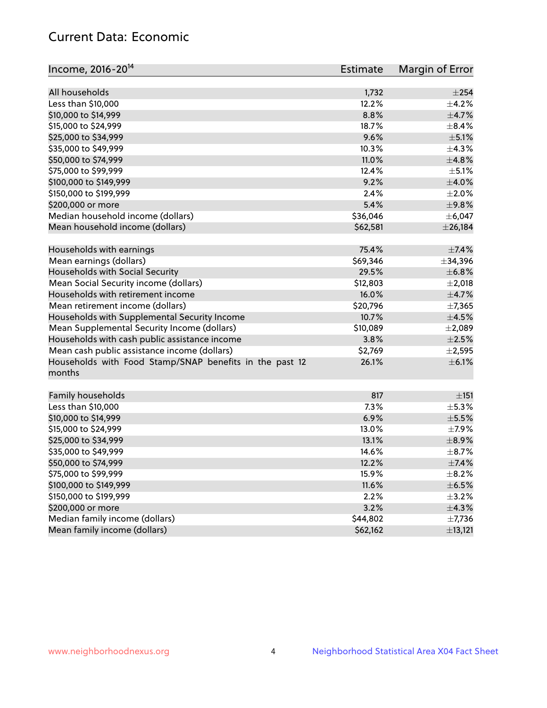# Current Data: Economic

| Income, 2016-20 <sup>14</sup>                                                                 | Estimate | Margin of Error |
|-----------------------------------------------------------------------------------------------|----------|-----------------|
|                                                                                               |          |                 |
| All households                                                                                | 1,732    | $\pm 254$       |
| Less than \$10,000                                                                            | 12.2%    | $\pm$ 4.2%      |
| \$10,000 to \$14,999                                                                          | 8.8%     | $\pm$ 4.7%      |
| \$15,000 to \$24,999                                                                          | 18.7%    | $\pm$ 8.4%      |
| \$25,000 to \$34,999                                                                          | 9.6%     | $\pm$ 5.1%      |
| \$35,000 to \$49,999                                                                          | 10.3%    | ±4.3%           |
| \$50,000 to \$74,999                                                                          | 11.0%    | ±4.8%           |
| \$75,000 to \$99,999                                                                          | 12.4%    | $\pm$ 5.1%      |
| \$100,000 to \$149,999                                                                        | 9.2%     | $\pm$ 4.0%      |
| \$150,000 to \$199,999                                                                        | 2.4%     | $\pm 2.0\%$     |
| \$200,000 or more                                                                             | 5.4%     | ±9.8%           |
| Median household income (dollars)                                                             | \$36,046 | ± 6,047         |
| Mean household income (dollars)                                                               | \$62,581 | $±$ 26,184      |
| Households with earnings                                                                      | 75.4%    | $\pm$ 7.4%      |
| Mean earnings (dollars)                                                                       | \$69,346 | $\pm$ 34,396    |
| Households with Social Security                                                               | 29.5%    | ±6.8%           |
| Mean Social Security income (dollars)                                                         | \$12,803 | $\pm 2,018$     |
| Households with retirement income                                                             | 16.0%    | $\pm$ 4.7%      |
| Mean retirement income (dollars)                                                              | \$20,796 | ±7,365          |
| Households with Supplemental Security Income                                                  | 10.7%    | $\pm$ 4.5%      |
| Mean Supplemental Security Income (dollars)                                                   | \$10,089 | $\pm 2,089$     |
|                                                                                               | 3.8%     | $\pm 2.5\%$     |
| Households with cash public assistance income<br>Mean cash public assistance income (dollars) | \$2,769  | $\pm 2,595$     |
|                                                                                               |          |                 |
| Households with Food Stamp/SNAP benefits in the past 12<br>months                             | 26.1%    | $\pm$ 6.1%      |
| Family households                                                                             | 817      | ±151            |
| Less than \$10,000                                                                            | 7.3%     | $\pm$ 5.3%      |
| \$10,000 to \$14,999                                                                          | 6.9%     | $\pm$ 5.5%      |
| \$15,000 to \$24,999                                                                          | 13.0%    | $\pm$ 7.9%      |
| \$25,000 to \$34,999                                                                          | 13.1%    | $\pm$ 8.9%      |
| \$35,000 to \$49,999                                                                          | 14.6%    | $\pm$ 8.7%      |
| \$50,000 to \$74,999                                                                          | 12.2%    | $\pm$ 7.4%      |
| \$75,000 to \$99,999                                                                          | 15.9%    | $\pm$ 8.2%      |
| \$100,000 to \$149,999                                                                        | 11.6%    | $\pm$ 6.5%      |
| \$150,000 to \$199,999                                                                        | 2.2%     | $\pm$ 3.2%      |
| \$200,000 or more                                                                             | 3.2%     | ±4.3%           |
| Median family income (dollars)                                                                | \$44,802 | $\pm$ 7,736     |
| Mean family income (dollars)                                                                  | \$62,162 | ±13,121         |
|                                                                                               |          |                 |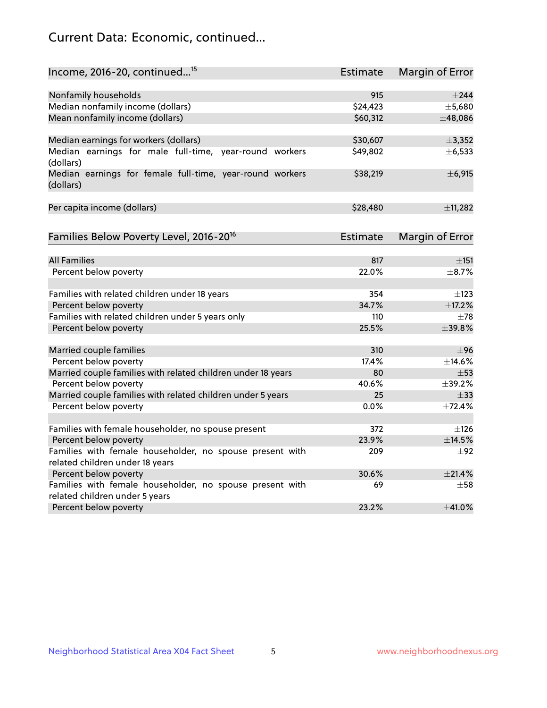# Current Data: Economic, continued...

| Income, 2016-20, continued <sup>15</sup>                              | <b>Estimate</b> | <b>Margin of Error</b> |
|-----------------------------------------------------------------------|-----------------|------------------------|
|                                                                       |                 |                        |
| Nonfamily households                                                  | 915             | $\pm$ 244              |
| Median nonfamily income (dollars)                                     | \$24,423        | ±5,680                 |
| Mean nonfamily income (dollars)                                       | \$60,312        | ±48,086                |
| Median earnings for workers (dollars)                                 | \$30,607        | ±3,352                 |
| Median earnings for male full-time, year-round workers<br>(dollars)   | \$49,802        | $\pm$ 6,533            |
| Median earnings for female full-time, year-round workers<br>(dollars) | \$38,219        | ±6,915                 |
| Per capita income (dollars)                                           | \$28,480        | ±11,282                |
| Families Below Poverty Level, 2016-20 <sup>16</sup>                   | <b>Estimate</b> | <b>Margin of Error</b> |
|                                                                       |                 |                        |
| <b>All Families</b>                                                   | 817             | $\pm$ 151              |
| Percent below poverty                                                 | 22.0%           | ±8.7%                  |
| Families with related children under 18 years                         | 354             | $\pm$ 123              |
| Percent below poverty                                                 | 34.7%           | ±17.2%                 |
| Families with related children under 5 years only                     | 110             | $\pm 78$               |
| Percent below poverty                                                 | 25.5%           | ±39.8%                 |
| Married couple families                                               | 310             | $\pm$ 96               |
| Percent below poverty                                                 | 17.4%           | ±14.6%                 |
| Married couple families with related children under 18 years          | 80              | $\pm$ 53               |
| Percent below poverty                                                 | 40.6%           | ±39.2%                 |
| Married couple families with related children under 5 years           | 25              | $\pm$ 33               |
| Percent below poverty                                                 | $0.0\%$         | ±72.4%                 |
| Families with female householder, no spouse present                   | 372             | $\pm 126$              |
| Percent below poverty                                                 | 23.9%           | ±14.5%                 |
| Families with female householder, no spouse present with              | 209             | $\pm 92$               |
| related children under 18 years                                       |                 |                        |
| Percent below poverty                                                 | 30.6%           | ±21.4%                 |
| Families with female householder, no spouse present with              | 69              | $\pm$ 58               |
| related children under 5 years                                        |                 |                        |
| Percent below poverty                                                 | 23.2%           | ±41.0%                 |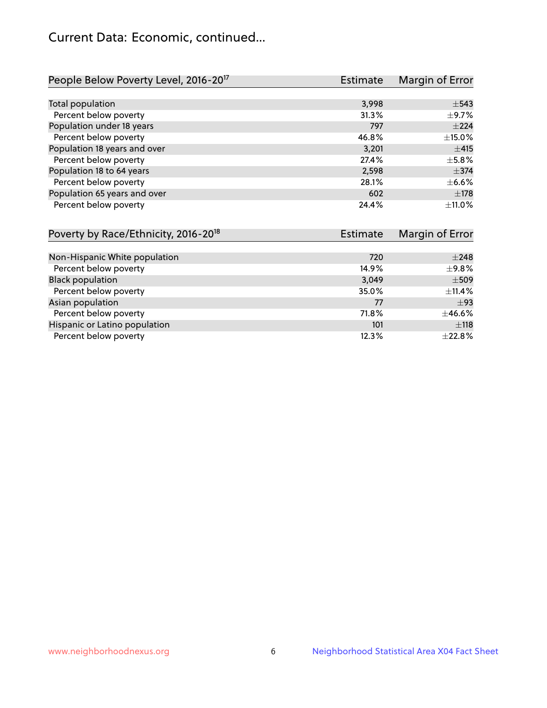# Current Data: Economic, continued...

| People Below Poverty Level, 2016-20 <sup>17</sup> | <b>Estimate</b> | Margin of Error |
|---------------------------------------------------|-----------------|-----------------|
|                                                   |                 |                 |
| Total population                                  | 3,998           | $\pm$ 543       |
| Percent below poverty                             | 31.3%           | $\pm$ 9.7%      |
| Population under 18 years                         | 797             | $\pm 224$       |
| Percent below poverty                             | 46.8%           | $\pm$ 15.0%     |
| Population 18 years and over                      | 3,201           | ±415            |
| Percent below poverty                             | 27.4%           | $\pm$ 5.8%      |
| Population 18 to 64 years                         | 2,598           | $\pm$ 374       |
| Percent below poverty                             | 28.1%           | $\pm$ 6.6%      |
| Population 65 years and over                      | 602             | $\pm$ 178       |
| Percent below poverty                             | 24.4%           | $+11.0%$        |

| Poverty by Race/Ethnicity, 2016-20 <sup>18</sup> | Estimate |             |
|--------------------------------------------------|----------|-------------|
|                                                  |          |             |
| Non-Hispanic White population                    | 720      | $\pm 248$   |
| Percent below poverty                            | 14.9%    | ±9.8%       |
| <b>Black population</b>                          | 3,049    | $\pm$ 509   |
| Percent below poverty                            | 35.0%    | $\pm$ 11.4% |
| Asian population                                 | 77       | $\pm$ 93    |
| Percent below poverty                            | 71.8%    | ±46.6%      |
| Hispanic or Latino population                    | 101      | ±118        |
| Percent below poverty                            | 12.3%    | ±22.8%      |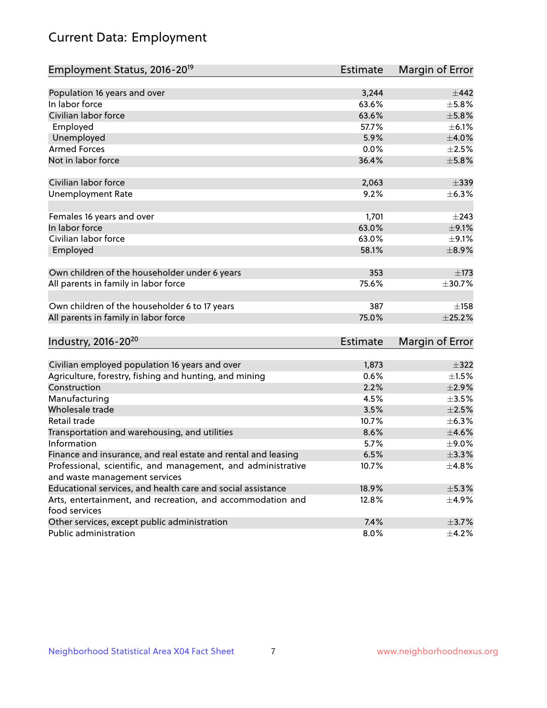# Current Data: Employment

| Employment Status, 2016-20 <sup>19</sup>                                    | Estimate | Margin of Error |
|-----------------------------------------------------------------------------|----------|-----------------|
|                                                                             |          |                 |
| Population 16 years and over                                                | 3,244    | $\pm$ 442       |
| In labor force                                                              | 63.6%    | $\pm$ 5.8%      |
| Civilian labor force                                                        | 63.6%    | $\pm$ 5.8%      |
| Employed                                                                    | 57.7%    | $\pm$ 6.1%      |
| Unemployed                                                                  | 5.9%     | $\pm 4.0\%$     |
| <b>Armed Forces</b>                                                         | 0.0%     | $\pm 2.5\%$     |
| Not in labor force                                                          | 36.4%    | $\pm$ 5.8%      |
|                                                                             |          |                 |
| Civilian labor force                                                        | 2,063    | $\pm$ 339       |
| <b>Unemployment Rate</b>                                                    | 9.2%     | ±6.3%           |
| Females 16 years and over                                                   | 1,701    | $\pm$ 243       |
| In labor force                                                              | 63.0%    | $\pm$ 9.1%      |
| Civilian labor force                                                        | 63.0%    | $\pm$ 9.1%      |
| Employed                                                                    | 58.1%    | $\pm$ 8.9%      |
|                                                                             |          |                 |
| Own children of the householder under 6 years                               | 353      | $\pm$ 173       |
| All parents in family in labor force                                        | 75.6%    | $\pm 30.7\%$    |
| Own children of the householder 6 to 17 years                               | 387      | ±158            |
| All parents in family in labor force                                        | 75.0%    | $\pm$ 25.2%     |
|                                                                             |          |                 |
| Industry, 2016-20 <sup>20</sup>                                             | Estimate | Margin of Error |
|                                                                             |          |                 |
| Civilian employed population 16 years and over                              | 1,873    | $\pm$ 322       |
| Agriculture, forestry, fishing and hunting, and mining                      | 0.6%     | $\pm 1.5\%$     |
| Construction                                                                | 2.2%     | $\pm 2.9\%$     |
| Manufacturing                                                               | 4.5%     | $\pm 3.5\%$     |
| Wholesale trade                                                             | 3.5%     | $\pm 2.5\%$     |
| Retail trade                                                                | 10.7%    | ±6.3%           |
| Transportation and warehousing, and utilities                               | 8.6%     | $\pm 4.6\%$     |
| Information                                                                 | 5.7%     | $\pm$ 9.0%      |
| Finance and insurance, and real estate and rental and leasing               | 6.5%     | ±3.3%           |
| Professional, scientific, and management, and administrative                | 10.7%    | $\pm 4.8\%$     |
| and waste management services                                               |          |                 |
| Educational services, and health care and social assistance                 | 18.9%    | $\pm$ 5.3%      |
| Arts, entertainment, and recreation, and accommodation and<br>food services | 12.8%    | $\pm$ 4.9%      |
| Other services, except public administration                                | 7.4%     | $\pm$ 3.7%      |
| Public administration                                                       | 8.0%     | $\pm$ 4.2%      |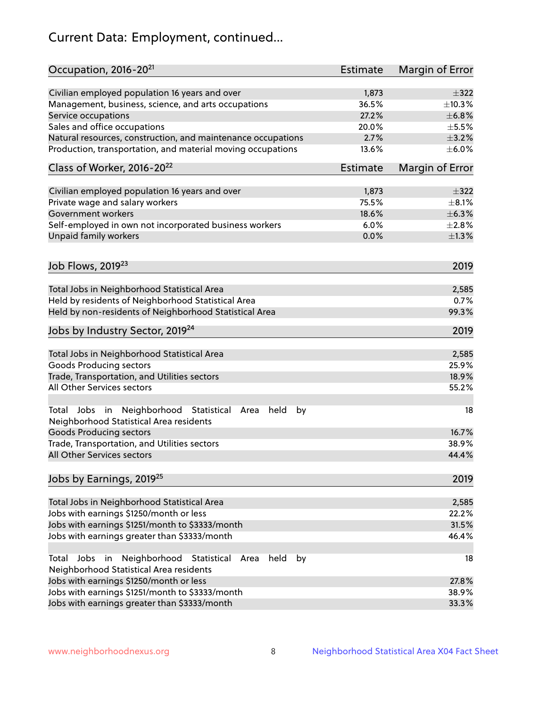# Current Data: Employment, continued...

| Occupation, 2016-20 <sup>21</sup>                                                                       | <b>Estimate</b> | Margin of Error |
|---------------------------------------------------------------------------------------------------------|-----------------|-----------------|
| Civilian employed population 16 years and over                                                          | 1,873           | $\pm$ 322       |
| Management, business, science, and arts occupations                                                     | 36.5%           | ±10.3%          |
| Service occupations                                                                                     | 27.2%           | $\pm$ 6.8%      |
| Sales and office occupations                                                                            | 20.0%           | $\pm$ 5.5%      |
| Natural resources, construction, and maintenance occupations                                            | 2.7%            | $\pm$ 3.2%      |
| Production, transportation, and material moving occupations                                             | 13.6%           | $\pm$ 6.0%      |
| Class of Worker, 2016-20 <sup>22</sup>                                                                  | Estimate        | Margin of Error |
| Civilian employed population 16 years and over                                                          | 1,873           | $\pm$ 322       |
| Private wage and salary workers                                                                         | 75.5%           | $\pm$ 8.1%      |
| Government workers                                                                                      | 18.6%           | ±6.3%           |
| Self-employed in own not incorporated business workers                                                  | 6.0%            | $\pm 2.8\%$     |
| Unpaid family workers                                                                                   | 0.0%            | $\pm 1.3\%$     |
| Job Flows, 2019 <sup>23</sup>                                                                           |                 | 2019            |
|                                                                                                         |                 |                 |
| Total Jobs in Neighborhood Statistical Area                                                             |                 | 2,585           |
| Held by residents of Neighborhood Statistical Area                                                      |                 | 0.7%            |
| Held by non-residents of Neighborhood Statistical Area                                                  |                 | 99.3%           |
| Jobs by Industry Sector, 2019 <sup>24</sup>                                                             |                 | 2019            |
| Total Jobs in Neighborhood Statistical Area                                                             |                 | 2,585           |
| <b>Goods Producing sectors</b>                                                                          |                 | 25.9%           |
| Trade, Transportation, and Utilities sectors                                                            |                 | 18.9%           |
| All Other Services sectors                                                                              |                 | 55.2%           |
| Total Jobs in Neighborhood Statistical<br>held<br>by<br>Area<br>Neighborhood Statistical Area residents |                 | 18              |
| <b>Goods Producing sectors</b>                                                                          |                 | 16.7%           |
| Trade, Transportation, and Utilities sectors                                                            |                 | 38.9%           |
| All Other Services sectors                                                                              |                 | 44.4%           |
| Jobs by Earnings, 2019 <sup>25</sup>                                                                    |                 | 2019            |
| Total Jobs in Neighborhood Statistical Area                                                             |                 | 2,585           |
| Jobs with earnings \$1250/month or less                                                                 |                 | 22.2%           |
| Jobs with earnings \$1251/month to \$3333/month                                                         |                 | 31.5%           |
| Jobs with earnings greater than \$3333/month                                                            |                 | 46.4%           |
| Neighborhood Statistical<br>Jobs<br>in<br>Area<br>held<br>by<br>Total                                   |                 | 18              |
| Neighborhood Statistical Area residents<br>Jobs with earnings \$1250/month or less                      |                 | 27.8%           |
| Jobs with earnings \$1251/month to \$3333/month                                                         |                 | 38.9%           |
| Jobs with earnings greater than \$3333/month                                                            |                 | 33.3%           |
|                                                                                                         |                 |                 |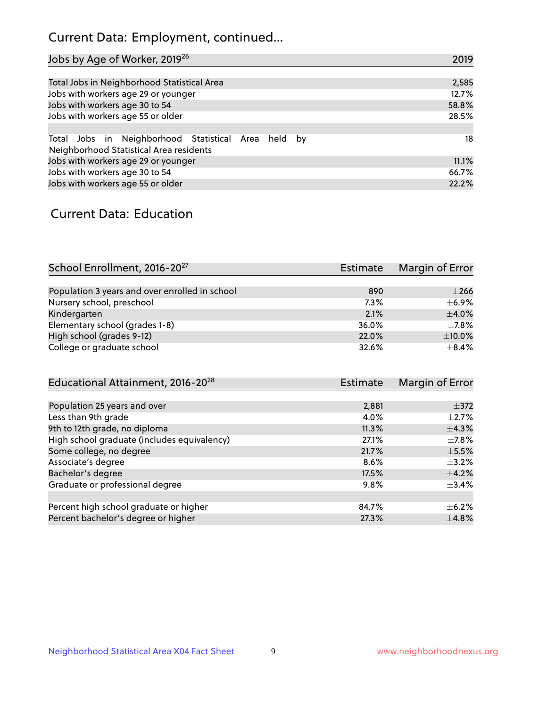# Current Data: Employment, continued...

| Jobs by Age of Worker, 2019 <sup>26</sup>                                                      | 2019  |
|------------------------------------------------------------------------------------------------|-------|
|                                                                                                |       |
| Total Jobs in Neighborhood Statistical Area                                                    | 2,585 |
| Jobs with workers age 29 or younger                                                            | 12.7% |
| Jobs with workers age 30 to 54                                                                 | 58.8% |
| Jobs with workers age 55 or older                                                              | 28.5% |
|                                                                                                |       |
| Total Jobs in Neighborhood Statistical Area held by<br>Neighborhood Statistical Area residents | 18    |
| Jobs with workers age 29 or younger                                                            | 11.1% |
| Jobs with workers age 30 to 54                                                                 | 66.7% |
| Jobs with workers age 55 or older                                                              | 22.2% |

### Current Data: Education

| School Enrollment, 2016-20 <sup>27</sup>       | <b>Estimate</b> | Margin of Error |
|------------------------------------------------|-----------------|-----------------|
|                                                |                 |                 |
| Population 3 years and over enrolled in school | 890             | $\pm 266$       |
| Nursery school, preschool                      | $7.3\%$         | $\pm$ 6.9%      |
| Kindergarten                                   | 2.1%            | $\pm$ 4.0%      |
| Elementary school (grades 1-8)                 | 36.0%           | $+7.8%$         |
| High school (grades 9-12)                      | 22.0%           | $\pm$ 10.0%     |
| College or graduate school                     | 32.6%           | $+8.4%$         |

| Educational Attainment, 2016-20 <sup>28</sup> | Estimate | Margin of Error |
|-----------------------------------------------|----------|-----------------|
|                                               |          |                 |
| Population 25 years and over                  | 2,881    | $\pm$ 372       |
| Less than 9th grade                           | 4.0%     | $\pm 2.7\%$     |
| 9th to 12th grade, no diploma                 | 11.3%    | $\pm$ 4.3%      |
| High school graduate (includes equivalency)   | 27.1%    | $+7.8%$         |
| Some college, no degree                       | 21.7%    | $\pm$ 5.5%      |
| Associate's degree                            | 8.6%     | $\pm$ 3.2%      |
| Bachelor's degree                             | 17.5%    | $\pm$ 4.2%      |
| Graduate or professional degree               | 9.8%     | $\pm$ 3.4%      |
|                                               |          |                 |
| Percent high school graduate or higher        | 84.7%    | $+6.2%$         |
| Percent bachelor's degree or higher           | 27.3%    | $\pm$ 4.8%      |
|                                               |          |                 |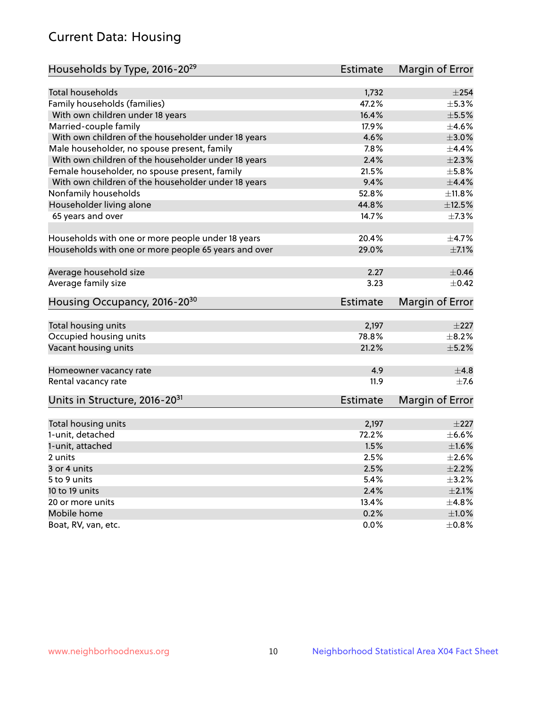# Current Data: Housing

| Households by Type, 2016-20 <sup>29</sup>            | <b>Estimate</b> | Margin of Error |
|------------------------------------------------------|-----------------|-----------------|
|                                                      |                 |                 |
| Total households                                     | 1,732           | $\pm 254$       |
| Family households (families)                         | 47.2%           | ±5.3%           |
| With own children under 18 years                     | 16.4%           | $\pm$ 5.5%      |
| Married-couple family                                | 17.9%           | $\pm 4.6\%$     |
| With own children of the householder under 18 years  | 4.6%            | $\pm 3.0\%$     |
| Male householder, no spouse present, family          | 7.8%            | $\pm$ 4.4%      |
| With own children of the householder under 18 years  | 2.4%            | $\pm 2.3\%$     |
| Female householder, no spouse present, family        | 21.5%           | $\pm$ 5.8%      |
| With own children of the householder under 18 years  | 9.4%            | $\pm$ 4.4%      |
| Nonfamily households                                 | 52.8%           | ±11.8%          |
| Householder living alone                             | 44.8%           | ±12.5%          |
| 65 years and over                                    | 14.7%           | $\pm 7.3\%$     |
| Households with one or more people under 18 years    | 20.4%           | ±4.7%           |
| Households with one or more people 65 years and over | 29.0%           | $\pm$ 7.1%      |
|                                                      |                 |                 |
| Average household size                               | 2.27            | $\pm$ 0.46      |
| Average family size                                  | 3.23            | $+0.42$         |
| Housing Occupancy, 2016-20 <sup>30</sup>             | <b>Estimate</b> | Margin of Error |
| Total housing units                                  | 2,197           | $\pm 227$       |
| Occupied housing units                               | 78.8%           | $\pm$ 8.2%      |
| Vacant housing units                                 | 21.2%           | $\pm$ 5.2%      |
|                                                      |                 |                 |
| Homeowner vacancy rate                               | 4.9             | $\pm$ 4.8       |
| Rental vacancy rate                                  | 11.9            | $\pm$ 7.6       |
| Units in Structure, 2016-20 <sup>31</sup>            | Estimate        | Margin of Error |
| Total housing units                                  | 2,197           | $\pm 227$       |
| 1-unit, detached                                     | 72.2%           | $\pm$ 6.6%      |
| 1-unit, attached                                     | 1.5%            | $\pm1.6\%$      |
| 2 units                                              | 2.5%            | $\pm 2.6\%$     |
| 3 or 4 units                                         | 2.5%            | $\pm 2.2\%$     |
| 5 to 9 units                                         | 5.4%            | $\pm$ 3.2%      |
| 10 to 19 units                                       | 2.4%            | $\pm 2.1\%$     |
| 20 or more units                                     | 13.4%           | ±4.8%           |
| Mobile home                                          | 0.2%            | $\pm1.0\%$      |
| Boat, RV, van, etc.                                  | $0.0\%$         | $\pm$ 0.8%      |
|                                                      |                 |                 |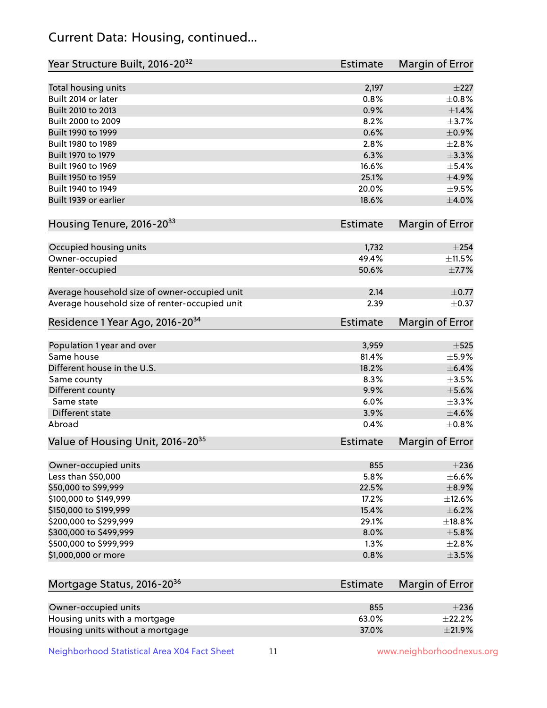# Current Data: Housing, continued...

| Year Structure Built, 2016-20 <sup>32</sup>    | <b>Estimate</b> | <b>Margin of Error</b> |
|------------------------------------------------|-----------------|------------------------|
| Total housing units                            | 2,197           | $\pm 227$              |
| Built 2014 or later                            | 0.8%            | $\pm$ 0.8%             |
| Built 2010 to 2013                             | 0.9%            | $\pm$ 1.4%             |
| Built 2000 to 2009                             | 8.2%            | $\pm$ 3.7%             |
| Built 1990 to 1999                             | 0.6%            | $\pm$ 0.9%             |
| Built 1980 to 1989                             | 2.8%            | $\pm 2.8\%$            |
| Built 1970 to 1979                             | 6.3%            | $\pm$ 3.3%             |
| Built 1960 to 1969                             | 16.6%           | $\pm$ 5.4%             |
| Built 1950 to 1959                             | 25.1%           | $\pm$ 4.9%             |
| Built 1940 to 1949                             | 20.0%           | $\pm$ 9.5%             |
| Built 1939 or earlier                          | 18.6%           | $\pm 4.0\%$            |
| Housing Tenure, 2016-2033                      | <b>Estimate</b> | <b>Margin of Error</b> |
| Occupied housing units                         | 1,732           | $\pm 254$              |
| Owner-occupied                                 | 49.4%           | ±11.5%                 |
| Renter-occupied                                | 50.6%           | $\pm$ 7.7%             |
| Average household size of owner-occupied unit  | 2.14            | $\pm$ 0.77             |
| Average household size of renter-occupied unit | 2.39            | $\pm$ 0.37             |
| Residence 1 Year Ago, 2016-20 <sup>34</sup>    | Estimate        | <b>Margin of Error</b> |
| Population 1 year and over                     | 3,959           | $\pm$ 525              |
| Same house                                     | 81.4%           | $\pm$ 5.9%             |
| Different house in the U.S.                    | 18.2%           | $\pm$ 6.4%             |
| Same county                                    | 8.3%            | $\pm$ 3.5%             |
| Different county                               | 9.9%            | $\pm$ 5.6%             |
| Same state                                     | 6.0%            | ±3.3%                  |
| Different state                                | 3.9%            | $\pm$ 4.6%             |
| Abroad                                         | 0.4%            | $\pm$ 0.8%             |
| Value of Housing Unit, 2016-20 <sup>35</sup>   | <b>Estimate</b> | Margin of Error        |
| Owner-occupied units                           | 855             | $\pm 236$              |
| Less than \$50,000                             | 5.8%            | $\pm$ 6.6%             |
| \$50,000 to \$99,999                           | 22.5%           | $\pm$ 8.9%             |
| \$100,000 to \$149,999                         | 17.2%           | ±12.6%                 |
| \$150,000 to \$199,999                         | 15.4%           | $\pm$ 6.2%             |
| \$200,000 to \$299,999                         | 29.1%           | ±18.8%                 |
| \$300,000 to \$499,999                         | 8.0%            | $\pm$ 5.8%             |
| \$500,000 to \$999,999                         | 1.3%            | ±2.8%                  |
| \$1,000,000 or more                            | 0.8%            | $\pm$ 3.5%             |
| Mortgage Status, 2016-20 <sup>36</sup>         | <b>Estimate</b> | Margin of Error        |
| Owner-occupied units                           | 855             | $\pm 236$              |
| Housing units with a mortgage                  | 63.0%           | ±22.2%                 |

Neighborhood Statistical Area X04 Fact Sheet 11 11 www.neighborhoodnexus.org

Housing units without a mortgage  $\pm 21.9\%$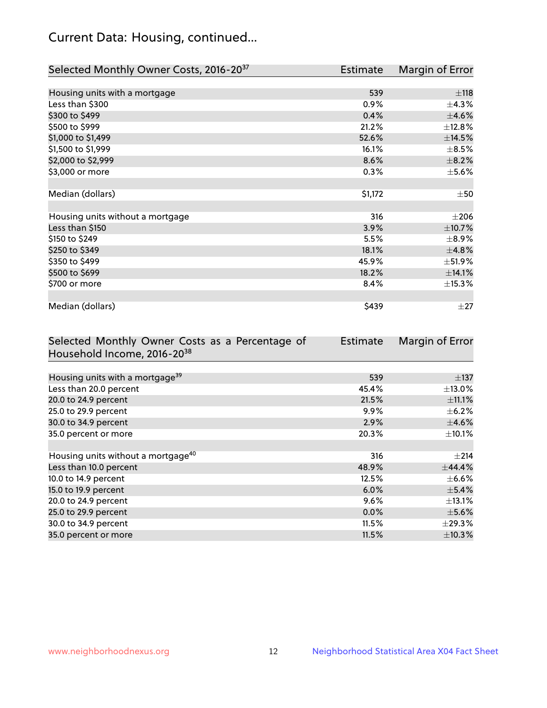# Current Data: Housing, continued...

| Selected Monthly Owner Costs, 2016-20 <sup>37</sup> | Estimate | Margin of Error |
|-----------------------------------------------------|----------|-----------------|
|                                                     |          |                 |
| Housing units with a mortgage                       | 539      | $\pm$ 118       |
| Less than \$300                                     | 0.9%     | ±4.3%           |
| \$300 to \$499                                      | 0.4%     | $\pm 4.6\%$     |
| \$500 to \$999                                      | 21.2%    | ±12.8%          |
| \$1,000 to \$1,499                                  | 52.6%    | ±14.5%          |
| \$1,500 to \$1,999                                  | 16.1%    | $\pm$ 8.5%      |
| \$2,000 to \$2,999                                  | 8.6%     | $\pm$ 8.2%      |
| \$3,000 or more                                     | 0.3%     | $\pm$ 5.6%      |
|                                                     |          |                 |
| Median (dollars)                                    | \$1,172  | $\pm$ 50        |
|                                                     |          |                 |
| Housing units without a mortgage                    | 316      | $\pm 206$       |
| Less than \$150                                     | 3.9%     | $\pm$ 10.7%     |
| \$150 to \$249                                      | 5.5%     | $\pm$ 8.9%      |
| \$250 to \$349                                      | 18.1%    | ±4.8%           |
| \$350 to \$499                                      | 45.9%    | ±51.9%          |
| \$500 to \$699                                      | 18.2%    | ±14.1%          |
| \$700 or more                                       | 8.4%     | ±15.3%          |
|                                                     |          |                 |
| Median (dollars)                                    | \$439    | $\pm 27$        |

| Selected Monthly Owner Costs as a Percentage of | <b>Estimate</b> | Margin of Error |
|-------------------------------------------------|-----------------|-----------------|
| Household Income, 2016-20 <sup>38</sup>         |                 |                 |
|                                                 |                 |                 |
| Housing units with a mortgage <sup>39</sup>     | 539             | $\pm$ 137       |
| Less than 20.0 percent                          | 45.4%           | $\pm$ 13.0%     |
| 20.0 to 24.9 percent                            | 21.5%           | $\pm$ 11.1%     |
| 25.0 to 29.9 percent                            | 9.9%            | $\pm$ 6.2%      |
| 30.0 to 34.9 percent                            | 2.9%            | $\pm$ 4.6%      |
| 35.0 percent or more                            | 20.3%           | $\pm$ 10.1%     |
|                                                 |                 |                 |
| Housing units without a mortgage <sup>40</sup>  | 316             | $\pm 214$       |
| Less than 10.0 percent                          | 48.9%           | ±44.4%          |
| 10.0 to 14.9 percent                            | 12.5%           | $\pm$ 6.6%      |
| 15.0 to 19.9 percent                            | 6.0%            | $\pm$ 5.4%      |
| 20.0 to 24.9 percent                            | $9.6\%$         | $\pm$ 13.1%     |
| 25.0 to 29.9 percent                            | 0.0%            | $\pm$ 5.6%      |
| 30.0 to 34.9 percent                            | 11.5%           | $\pm$ 29.3%     |
| 35.0 percent or more                            | 11.5%           | $\pm$ 10.3%     |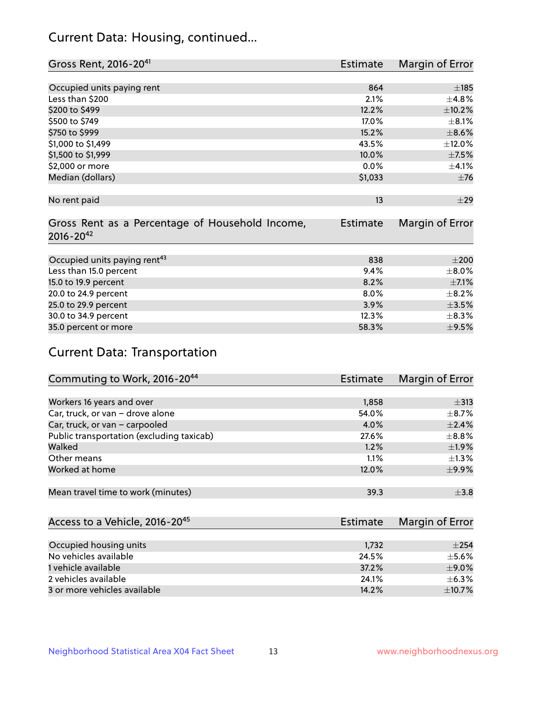# Current Data: Housing, continued...

| Gross Rent, 2016-20 <sup>41</sup>               | <b>Estimate</b> | Margin of Error |
|-------------------------------------------------|-----------------|-----------------|
|                                                 |                 |                 |
| Occupied units paying rent                      | 864             | $\pm$ 185       |
| Less than \$200                                 | 2.1%            | $\pm$ 4.8%      |
| \$200 to \$499                                  | 12.2%           | ±10.2%          |
| \$500 to \$749                                  | 17.0%           | $\pm$ 8.1%      |
| \$750 to \$999                                  | 15.2%           | $\pm$ 8.6%      |
| \$1,000 to \$1,499                              | 43.5%           | $\pm$ 12.0%     |
| \$1,500 to \$1,999                              | 10.0%           | $\pm$ 7.5%      |
| \$2,000 or more                                 | 0.0%            | $\pm 4.1\%$     |
| Median (dollars)                                | \$1,033         | $\pm$ 76        |
|                                                 |                 |                 |
| No rent paid                                    | 13              | ±29             |
|                                                 |                 |                 |
| Gross Rent as a Percentage of Household Income, | <b>Estimate</b> | Margin of Error |
| $2016 - 20^{42}$                                |                 |                 |
|                                                 |                 |                 |
| Occupied units paying rent <sup>43</sup>        | 838             | $\pm 200$       |
| Less than 15.0 percent                          | 9.4%            | $\pm$ 8.0%      |
| 15.0 to 19.9 percent                            | 8.2%            | $\pm$ 7.1%      |
| 20.0 to 24.9 percent                            | $8.0\%$         | $\pm$ 8.2%      |
| 25.0 to 29.9 percent                            | 3.9%            | $\pm 3.5\%$     |
| 30.0 to 34.9 percent                            | 12.3%           | $\pm$ 8.3%      |
| 35.0 percent or more                            | 58.3%           | $\pm$ 9.5%      |

# Current Data: Transportation

| Commuting to Work, 2016-20 <sup>44</sup>  | <b>Estimate</b> | Margin of Error |
|-------------------------------------------|-----------------|-----------------|
|                                           |                 |                 |
| Workers 16 years and over                 | 1,858           | $\pm$ 313       |
| Car, truck, or van - drove alone          | 54.0%           | $\pm$ 8.7%      |
| Car, truck, or van - carpooled            | 4.0%            | $\pm$ 2.4%      |
| Public transportation (excluding taxicab) | 27.6%           | $\pm$ 8.8%      |
| Walked                                    | 1.2%            | $\pm$ 1.9%      |
| Other means                               | 1.1%            | $\pm 1.3\%$     |
| Worked at home                            | 12.0%           | $\pm$ 9.9%      |
|                                           |                 |                 |
| Mean travel time to work (minutes)        | 39.3            | $\pm$ 3.8       |

| Access to a Vehicle, 2016-20 <sup>45</sup> | Estimate | Margin of Error |
|--------------------------------------------|----------|-----------------|
|                                            |          |                 |
| Occupied housing units                     | 1,732    | $+254$          |
| No vehicles available                      | 24.5%    | $\pm$ 5.6%      |
| 1 vehicle available                        | 37.2%    | $\pm$ 9.0%      |
| 2 vehicles available                       | 24.1%    | $+6.3%$         |
| 3 or more vehicles available               | 14.2%    | $\pm$ 10.7%     |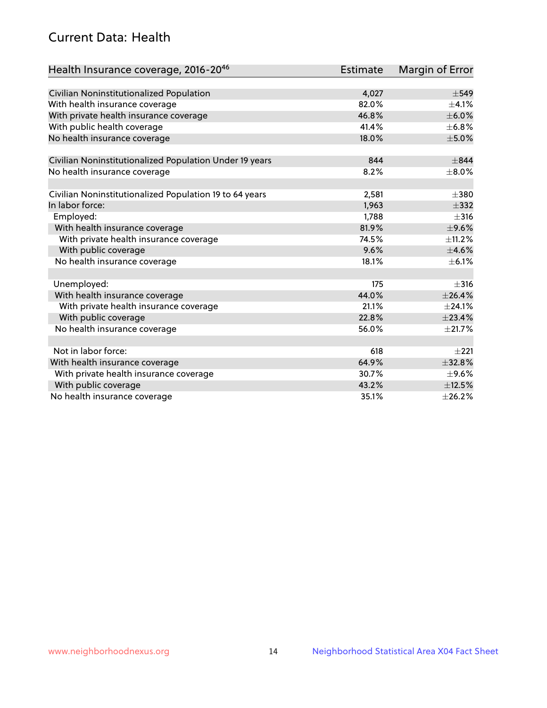# Current Data: Health

| Health Insurance coverage, 2016-2046                    | <b>Estimate</b> | Margin of Error |
|---------------------------------------------------------|-----------------|-----------------|
|                                                         |                 |                 |
| Civilian Noninstitutionalized Population                | 4,027           | $\pm$ 549       |
| With health insurance coverage                          | 82.0%           | $\pm$ 4.1%      |
| With private health insurance coverage                  | 46.8%           | $\pm$ 6.0%      |
| With public health coverage                             | 41.4%           | ±6.8%           |
| No health insurance coverage                            | 18.0%           | $\pm$ 5.0%      |
| Civilian Noninstitutionalized Population Under 19 years | 844             | $\pm$ 844       |
| No health insurance coverage                            | 8.2%            | $\pm$ 8.0%      |
|                                                         |                 |                 |
| Civilian Noninstitutionalized Population 19 to 64 years | 2,581           | $\pm 380$       |
| In labor force:                                         | 1,963           | $\pm$ 332       |
| Employed:                                               | 1,788           | $\pm$ 316       |
| With health insurance coverage                          | 81.9%           | $\pm$ 9.6%      |
| With private health insurance coverage                  | 74.5%           | $\pm$ 11.2%     |
| With public coverage                                    | 9.6%            | $\pm$ 4.6%      |
| No health insurance coverage                            | 18.1%           | $\pm$ 6.1%      |
|                                                         |                 |                 |
| Unemployed:                                             | 175             | $\pm$ 316       |
| With health insurance coverage                          | 44.0%           | $+26.4%$        |
| With private health insurance coverage                  | 21.1%           | ±24.1%          |
| With public coverage                                    | 22.8%           | ±23.4%          |
| No health insurance coverage                            | 56.0%           | $\pm 21.7\%$    |
|                                                         |                 |                 |
| Not in labor force:                                     | 618             | $\pm 221$       |
| With health insurance coverage                          | 64.9%           | $\pm$ 32.8%     |
| With private health insurance coverage                  | 30.7%           | $\pm$ 9.6%      |
| With public coverage                                    | 43.2%           | $\pm$ 12.5%     |
| No health insurance coverage                            | 35.1%           | ±26.2%          |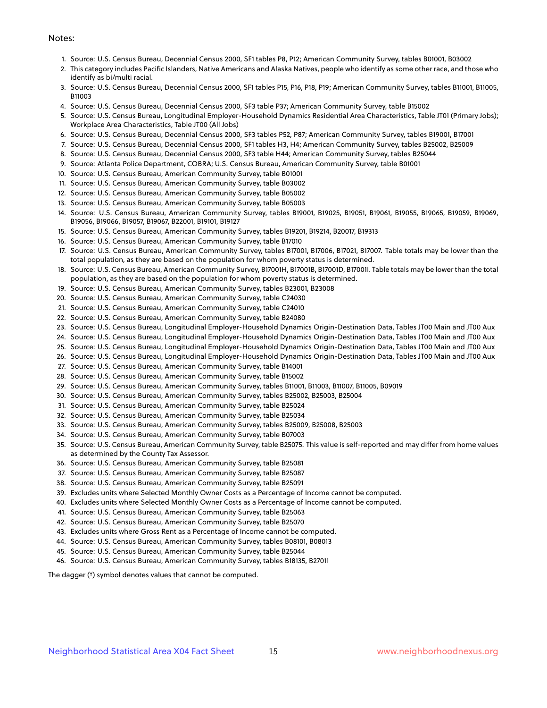#### Notes:

- 1. Source: U.S. Census Bureau, Decennial Census 2000, SF1 tables P8, P12; American Community Survey, tables B01001, B03002
- 2. This category includes Pacific Islanders, Native Americans and Alaska Natives, people who identify as some other race, and those who identify as bi/multi racial.
- 3. Source: U.S. Census Bureau, Decennial Census 2000, SF1 tables P15, P16, P18, P19; American Community Survey, tables B11001, B11005, B11003
- 4. Source: U.S. Census Bureau, Decennial Census 2000, SF3 table P37; American Community Survey, table B15002
- 5. Source: U.S. Census Bureau, Longitudinal Employer-Household Dynamics Residential Area Characteristics, Table JT01 (Primary Jobs); Workplace Area Characteristics, Table JT00 (All Jobs)
- 6. Source: U.S. Census Bureau, Decennial Census 2000, SF3 tables P52, P87; American Community Survey, tables B19001, B17001
- 7. Source: U.S. Census Bureau, Decennial Census 2000, SF1 tables H3, H4; American Community Survey, tables B25002, B25009
- 8. Source: U.S. Census Bureau, Decennial Census 2000, SF3 table H44; American Community Survey, tables B25044
- 9. Source: Atlanta Police Department, COBRA; U.S. Census Bureau, American Community Survey, table B01001
- 10. Source: U.S. Census Bureau, American Community Survey, table B01001
- 11. Source: U.S. Census Bureau, American Community Survey, table B03002
- 12. Source: U.S. Census Bureau, American Community Survey, table B05002
- 13. Source: U.S. Census Bureau, American Community Survey, table B05003
- 14. Source: U.S. Census Bureau, American Community Survey, tables B19001, B19025, B19051, B19061, B19055, B19065, B19059, B19069, B19056, B19066, B19057, B19067, B22001, B19101, B19127
- 15. Source: U.S. Census Bureau, American Community Survey, tables B19201, B19214, B20017, B19313
- 16. Source: U.S. Census Bureau, American Community Survey, table B17010
- 17. Source: U.S. Census Bureau, American Community Survey, tables B17001, B17006, B17021, B17007. Table totals may be lower than the total population, as they are based on the population for whom poverty status is determined.
- 18. Source: U.S. Census Bureau, American Community Survey, B17001H, B17001B, B17001D, B17001I. Table totals may be lower than the total population, as they are based on the population for whom poverty status is determined.
- 19. Source: U.S. Census Bureau, American Community Survey, tables B23001, B23008
- 20. Source: U.S. Census Bureau, American Community Survey, table C24030
- 21. Source: U.S. Census Bureau, American Community Survey, table C24010
- 22. Source: U.S. Census Bureau, American Community Survey, table B24080
- 23. Source: U.S. Census Bureau, Longitudinal Employer-Household Dynamics Origin-Destination Data, Tables JT00 Main and JT00 Aux
- 24. Source: U.S. Census Bureau, Longitudinal Employer-Household Dynamics Origin-Destination Data, Tables JT00 Main and JT00 Aux
- 25. Source: U.S. Census Bureau, Longitudinal Employer-Household Dynamics Origin-Destination Data, Tables JT00 Main and JT00 Aux
- 26. Source: U.S. Census Bureau, Longitudinal Employer-Household Dynamics Origin-Destination Data, Tables JT00 Main and JT00 Aux
- 27. Source: U.S. Census Bureau, American Community Survey, table B14001
- 28. Source: U.S. Census Bureau, American Community Survey, table B15002
- 29. Source: U.S. Census Bureau, American Community Survey, tables B11001, B11003, B11007, B11005, B09019
- 30. Source: U.S. Census Bureau, American Community Survey, tables B25002, B25003, B25004
- 31. Source: U.S. Census Bureau, American Community Survey, table B25024
- 32. Source: U.S. Census Bureau, American Community Survey, table B25034
- 33. Source: U.S. Census Bureau, American Community Survey, tables B25009, B25008, B25003
- 34. Source: U.S. Census Bureau, American Community Survey, table B07003
- 35. Source: U.S. Census Bureau, American Community Survey, table B25075. This value is self-reported and may differ from home values as determined by the County Tax Assessor.
- 36. Source: U.S. Census Bureau, American Community Survey, table B25081
- 37. Source: U.S. Census Bureau, American Community Survey, table B25087
- 38. Source: U.S. Census Bureau, American Community Survey, table B25091
- 39. Excludes units where Selected Monthly Owner Costs as a Percentage of Income cannot be computed.
- 40. Excludes units where Selected Monthly Owner Costs as a Percentage of Income cannot be computed.
- 41. Source: U.S. Census Bureau, American Community Survey, table B25063
- 42. Source: U.S. Census Bureau, American Community Survey, table B25070
- 43. Excludes units where Gross Rent as a Percentage of Income cannot be computed.
- 44. Source: U.S. Census Bureau, American Community Survey, tables B08101, B08013
- 45. Source: U.S. Census Bureau, American Community Survey, table B25044
- 46. Source: U.S. Census Bureau, American Community Survey, tables B18135, B27011

The dagger (†) symbol denotes values that cannot be computed.